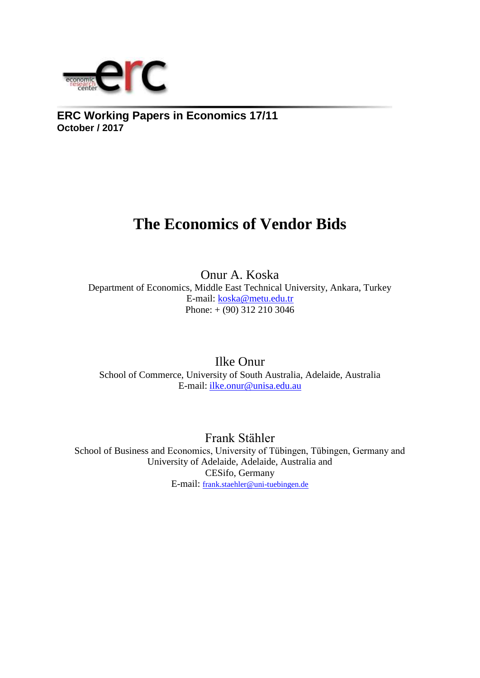

**ERC Working Papers in Economics 17/11 October / 2017**

# **The Economics of Vendor Bids**

Onur A. Koska Department of Economics, Middle East Technical University, Ankara, Turkey E-mail: [koska@metu.edu.tr](mailto:koska@metu.edu.tr)  Phone: + (90) 312 210 3046

Ilke Onur School of Commerce, University of South Australia, Adelaide, Australia E-mail: ilke.onur@unisa.edu.au

Frank Stähler

School of Business and Economics, University of Tübingen, Tübingen, Germany and University of Adelaide, Adelaide, Australia and CESifo, Germany E-mail: [frank.staehler@uni-tuebingen.de](mailto:frank.staehler@uni-tuebingen.de)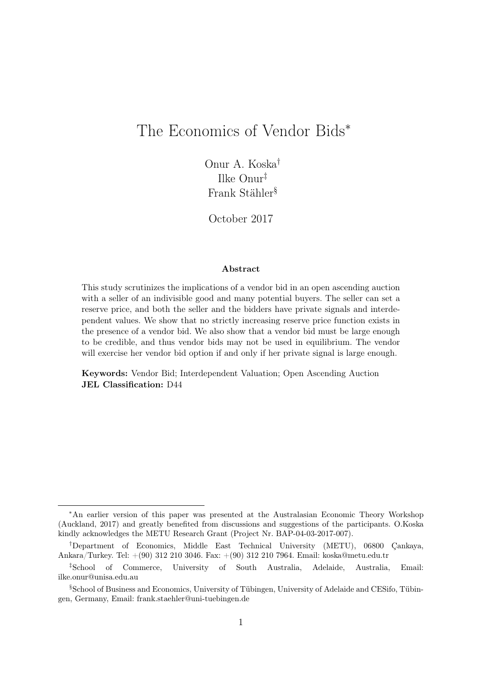# <span id="page-1-0"></span>The Economics of Vendor Bids<sup>∗</sup>

Onur A. Koska† Ilke Onur‡ Frank Stähler§

October 2017

#### Abstract

This study scrutinizes the implications of a vendor bid in an open ascending auction with a seller of an indivisible good and many potential buyers. The seller can set a reserve price, and both the seller and the bidders have private signals and interdependent values. We show that no strictly increasing reserve price function exists in the presence of a vendor bid. We also show that a vendor bid must be large enough to be credible, and thus vendor bids may not be used in equilibrium. The vendor will exercise her vendor bid option if and only if her private signal is large enough.

Keywords: Vendor Bid; Interdependent Valuation; Open Ascending Auction JEL Classification: D44

<sup>∗</sup>An earlier version of this paper was presented at the Australasian Economic Theory Workshop (Auckland, 2017) and greatly benefited from discussions and suggestions of the participants. O.Koska kindly acknowledges the METU Research Grant (Project Nr. BAP-04-03-2017-007).

<sup>†</sup>Department of Economics, Middle East Technical University (METU), 06800 Çankaya, Ankara/Turkey. Tel: +(90) 312 210 3046. Fax: +(90) 312 210 7964. Email: koska@metu.edu.tr

<sup>‡</sup>School of Commerce, University of South Australia, Adelaide, Australia, Email: ilke.onur@unisa.edu.au

<sup>§</sup>School of Business and Economics, University of Tübingen, University of Adelaide and CESifo, Tübingen, Germany, Email: frank.staehler@uni-tuebingen.de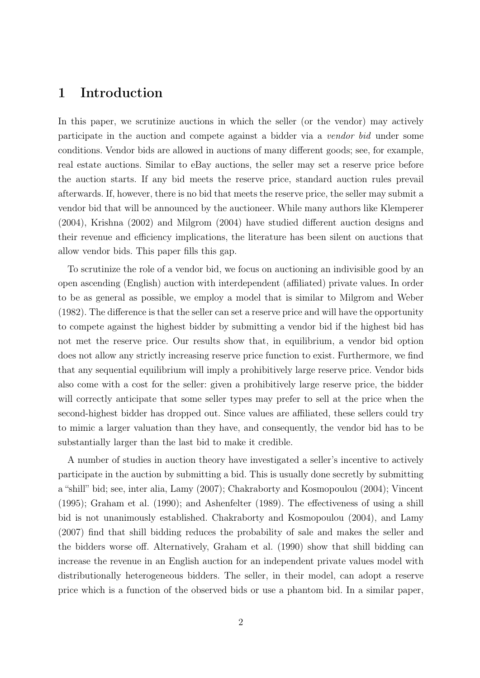### 1 Introduction

In this paper, we scrutinize auctions in which the seller (or the vendor) may actively participate in the auction and compete against a bidder via a vendor bid under some conditions. Vendor bids are allowed in auctions of many different goods; see, for example, real estate auctions. Similar to eBay auctions, the seller may set a reserve price before the auction starts. If any bid meets the reserve price, standard auction rules prevail afterwards. If, however, there is no bid that meets the reserve price, the seller may submit a vendor bid that will be announced by the auctioneer. While many authors like Klemperer (2004), Krishna (2002) and Milgrom (2004) have studied different auction designs and their revenue and efficiency implications, the literature has been silent on auctions that allow vendor bids. This paper fills this gap.

To scrutinize the role of a vendor bid, we focus on auctioning an indivisible good by an open ascending (English) auction with interdependent (affiliated) private values. In order to be as general as possible, we employ a model that is similar to Milgrom and Weber (1982). The difference is that the seller can set a reserve price and will have the opportunity to compete against the highest bidder by submitting a vendor bid if the highest bid has not met the reserve price. Our results show that, in equilibrium, a vendor bid option does not allow any strictly increasing reserve price function to exist. Furthermore, we find that any sequential equilibrium will imply a prohibitively large reserve price. Vendor bids also come with a cost for the seller: given a prohibitively large reserve price, the bidder will correctly anticipate that some seller types may prefer to sell at the price when the second-highest bidder has dropped out. Since values are affiliated, these sellers could try to mimic a larger valuation than they have, and consequently, the vendor bid has to be substantially larger than the last bid to make it credible.

A number of studies in auction theory have investigated a seller's incentive to actively participate in the auction by submitting a bid. This is usually done secretly by submitting a "shill" bid; see, inter alia, Lamy (2007); Chakraborty and Kosmopoulou (2004); Vincent (1995); Graham et al. (1990); and Ashenfelter (1989). The effectiveness of using a shill bid is not unanimously established. Chakraborty and Kosmopoulou (2004), and Lamy (2007) find that shill bidding reduces the probability of sale and makes the seller and the bidders worse off. Alternatively, Graham et al. (1990) show that shill bidding can increase the revenue in an English auction for an independent private values model with distributionally heterogeneous bidders. The seller, in their model, can adopt a reserve price which is a function of the observed bids or use a phantom bid. In a similar paper,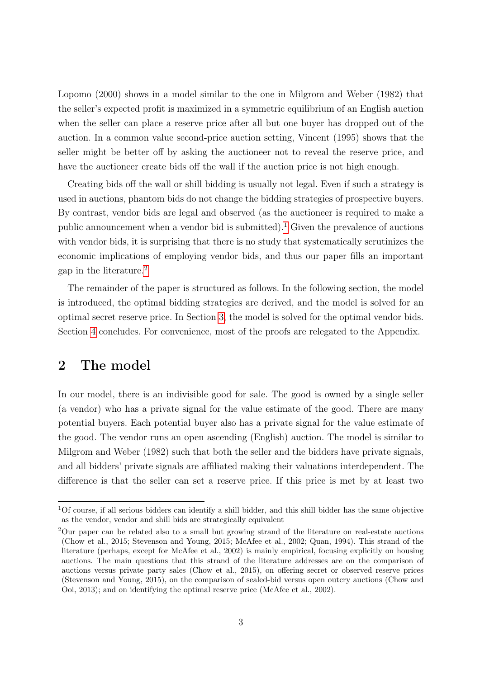Lopomo (2000) shows in a model similar to the one in Milgrom and Weber (1982) that the seller's expected profit is maximized in a symmetric equilibrium of an English auction when the seller can place a reserve price after all but one buyer has dropped out of the auction. In a common value second-price auction setting, Vincent (1995) shows that the seller might be better off by asking the auctioneer not to reveal the reserve price, and have the auctioneer create bids off the wall if the auction price is not high enough.

Creating bids off the wall or shill bidding is usually not legal. Even if such a strategy is used in auctions, phantom bids do not change the bidding strategies of prospective buyers. By contrast, vendor bids are legal and observed (as the auctioneer is required to make a public announcement when a vendor bid is submitted).<sup>[1](#page-1-0)</sup> Given the prevalence of auctions with vendor bids, it is surprising that there is no study that systematically scrutinizes the economic implications of employing vendor bids, and thus our paper fills an important gap in the literature.[2](#page-1-0)

The remainder of the paper is structured as follows. In the following section, the model is introduced, the optimal bidding strategies are derived, and the model is solved for an optimal secret reserve price. In Section [3,](#page-6-0) the model is solved for the optimal vendor bids. Section [4](#page-9-0) concludes. For convenience, most of the proofs are relegated to the Appendix.

### 2 The model

In our model, there is an indivisible good for sale. The good is owned by a single seller (a vendor) who has a private signal for the value estimate of the good. There are many potential buyers. Each potential buyer also has a private signal for the value estimate of the good. The vendor runs an open ascending (English) auction. The model is similar to Milgrom and Weber (1982) such that both the seller and the bidders have private signals, and all bidders' private signals are affiliated making their valuations interdependent. The difference is that the seller can set a reserve price. If this price is met by at least two

<sup>1</sup>Of course, if all serious bidders can identify a shill bidder, and this shill bidder has the same objective as the vendor, vendor and shill bids are strategically equivalent

<sup>2</sup>Our paper can be related also to a small but growing strand of the literature on real-estate auctions (Chow et al., 2015; Stevenson and Young, 2015; McAfee et al., 2002; Quan, 1994). This strand of the literature (perhaps, except for McAfee et al., 2002) is mainly empirical, focusing explicitly on housing auctions. The main questions that this strand of the literature addresses are on the comparison of auctions versus private party sales (Chow et al., 2015), on offering secret or observed reserve prices (Stevenson and Young, 2015), on the comparison of sealed-bid versus open outcry auctions (Chow and Ooi, 2013); and on identifying the optimal reserve price (McAfee et al., 2002).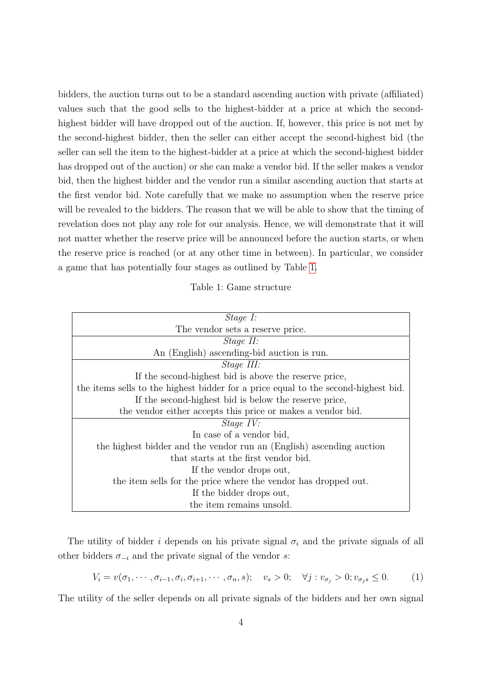bidders, the auction turns out to be a standard ascending auction with private (affiliated) values such that the good sells to the highest-bidder at a price at which the secondhighest bidder will have dropped out of the auction. If, however, this price is not met by the second-highest bidder, then the seller can either accept the second-highest bid (the seller can sell the item to the highest-bidder at a price at which the second-highest bidder has dropped out of the auction) or she can make a vendor bid. If the seller makes a vendor bid, then the highest bidder and the vendor run a similar ascending auction that starts at the first vendor bid. Note carefully that we make no assumption when the reserve price will be revealed to the bidders. The reason that we will be able to show that the timing of revelation does not play any role for our analysis. Hence, we will demonstrate that it will not matter whether the reserve price will be announced before the auction starts, or when the reserve price is reached (or at any other time in between). In particular, we consider a game that has potentially four stages as outlined by Table [1.](#page-4-0)

<span id="page-4-0"></span>

| Stage I:                                                                           |
|------------------------------------------------------------------------------------|
| The vendor sets a reserve price.                                                   |
| <i>Stage II:</i>                                                                   |
| An (English) ascending-bid auction is run.                                         |
| Stage III:                                                                         |
| If the second-highest bid is above the reserve price,                              |
| the items sells to the highest bidder for a price equal to the second-highest bid. |
| If the second-highest bid is below the reserve price,                              |
| the vendor either accepts this price or makes a vendor bid.                        |
| <i>Stage IV:</i>                                                                   |
| In case of a vendor bid,                                                           |
| the highest bidder and the vendor run an (English) ascending auction               |
| that starts at the first vendor bid.                                               |
| If the vendor drops out,                                                           |
| the item sells for the price where the vendor has dropped out.                     |
| If the bidder drops out,                                                           |
| the item remains unsold.                                                           |

The utility of bidder i depends on his private signal  $\sigma_i$  and the private signals of all other bidders  $\sigma_{-i}$  and the private signal of the vendor s:

$$
V_i = v(\sigma_1, \cdots, \sigma_{i-1}, \sigma_i, \sigma_{i+1}, \cdots, \sigma_n, s); \quad v_s > 0; \quad \forall j : v_{\sigma_j} > 0; v_{\sigma_j s} \le 0. \tag{1}
$$

The utility of the seller depends on all private signals of the bidders and her own signal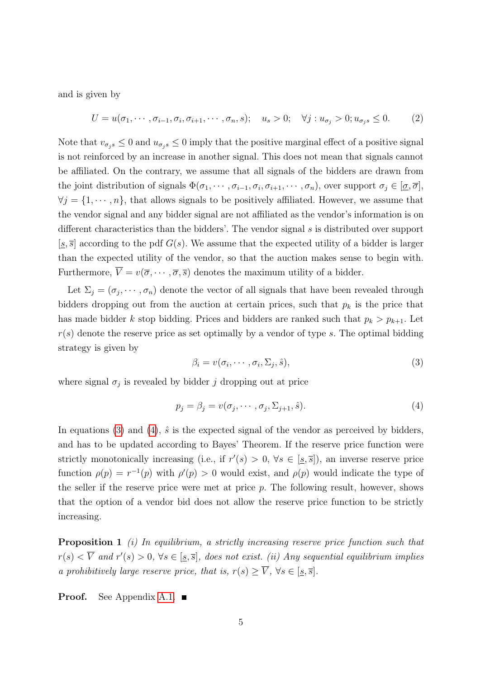and is given by

<span id="page-5-3"></span>
$$
U = u(\sigma_1, \cdots, \sigma_{i-1}, \sigma_i, \sigma_{i+1}, \cdots, \sigma_n, s); \quad u_s > 0; \quad \forall j: u_{\sigma_j} > 0; u_{\sigma_j s} \le 0. \tag{2}
$$

Note that  $v_{\sigma_j s} \leq 0$  and  $u_{\sigma_j s} \leq 0$  imply that the positive marginal effect of a positive signal is not reinforced by an increase in another signal. This does not mean that signals cannot be affiliated. On the contrary, we assume that all signals of the bidders are drawn from the joint distribution of signals  $\Phi(\sigma_1, \dots, \sigma_{i-1}, \sigma_i, \sigma_{i+1}, \dots, \sigma_n)$ , over support  $\sigma_j \in [\underline{\sigma}, \overline{\sigma}]$ ,  $\forall j = \{1, \dots, n\}$ , that allows signals to be positively affiliated. However, we assume that the vendor signal and any bidder signal are not affiliated as the vendor's information is on different characteristics than the bidders'. The vendor signal s is distributed over support  $[s, \overline{s}]$  according to the pdf  $G(s)$ . We assume that the expected utility of a bidder is larger than the expected utility of the vendor, so that the auction makes sense to begin with. Furthermore,  $\overline{V} = v(\overline{\sigma}, \cdots, \overline{\sigma}, \overline{s})$  denotes the maximum utility of a bidder.

Let  $\Sigma_j = (\sigma_j, \dots, \sigma_n)$  denote the vector of all signals that have been revealed through bidders dropping out from the auction at certain prices, such that  $p_k$  is the price that has made bidder k stop bidding. Prices and bidders are ranked such that  $p_k > p_{k+1}$ . Let  $r(s)$  denote the reserve price as set optimally by a vendor of type s. The optimal bidding strategy is given by

<span id="page-5-1"></span><span id="page-5-0"></span>
$$
\beta_i = v(\sigma_i, \cdots, \sigma_i, \Sigma_j, \hat{s}), \tag{3}
$$

where signal  $\sigma_j$  is revealed by bidder j dropping out at price

$$
p_j = \beta_j = v(\sigma_j, \cdots, \sigma_j, \Sigma_{j+1}, \hat{s}). \tag{4}
$$

In equations [\(3\)](#page-5-0) and [\(4\)](#page-5-1),  $\hat{s}$  is the expected signal of the vendor as perceived by bidders, and has to be updated according to Bayes' Theorem. If the reserve price function were strictly monotonically increasing (i.e., if  $r'(s) > 0$ ,  $\forall s \in [s, \overline{s}]$ ), an inverse reserve price function  $\rho(p) = r^{-1}(p)$  with  $\rho'(p) > 0$  would exist, and  $\rho(p)$  would indicate the type of the seller if the reserve price were met at price  $p$ . The following result, however, shows that the option of a vendor bid does not allow the reserve price function to be strictly increasing.

<span id="page-5-2"></span>**Proposition 1** (i) In equilibrium, a strictly increasing reserve price function such that  $r(s) < \overline{V}$  and  $r'(s) > 0$ ,  $\forall s \in [\underline{s}, \overline{s}]$ , does not exist. (ii) Any sequential equilibrium implies a prohibitively large reserve price, that is,  $r(s) \geq \overline{V}$ ,  $\forall s \in [\underline{s}, \overline{s}]$ .

**Proof.** See Appendix [A.1.](#page-10-0)  $\blacksquare$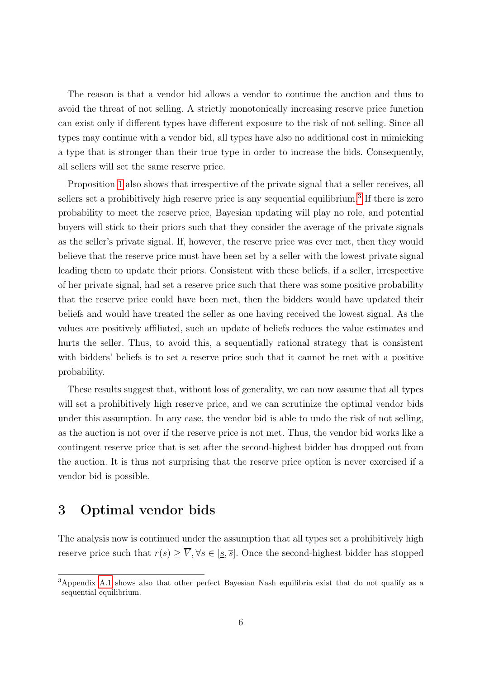The reason is that a vendor bid allows a vendor to continue the auction and thus to avoid the threat of not selling. A strictly monotonically increasing reserve price function can exist only if different types have different exposure to the risk of not selling. Since all types may continue with a vendor bid, all types have also no additional cost in mimicking a type that is stronger than their true type in order to increase the bids. Consequently, all sellers will set the same reserve price.

Proposition [1](#page-5-2) also shows that irrespective of the private signal that a seller receives, all sellers set a prohibitively high reserve price is any sequential equilibrium.<sup>[3](#page-1-0)</sup> If there is zero probability to meet the reserve price, Bayesian updating will play no role, and potential buyers will stick to their priors such that they consider the average of the private signals as the seller's private signal. If, however, the reserve price was ever met, then they would believe that the reserve price must have been set by a seller with the lowest private signal leading them to update their priors. Consistent with these beliefs, if a seller, irrespective of her private signal, had set a reserve price such that there was some positive probability that the reserve price could have been met, then the bidders would have updated their beliefs and would have treated the seller as one having received the lowest signal. As the values are positively affiliated, such an update of beliefs reduces the value estimates and hurts the seller. Thus, to avoid this, a sequentially rational strategy that is consistent with bidders' beliefs is to set a reserve price such that it cannot be met with a positive probability.

These results suggest that, without loss of generality, we can now assume that all types will set a prohibitively high reserve price, and we can scrutinize the optimal vendor bids under this assumption. In any case, the vendor bid is able to undo the risk of not selling, as the auction is not over if the reserve price is not met. Thus, the vendor bid works like a contingent reserve price that is set after the second-highest bidder has dropped out from the auction. It is thus not surprising that the reserve price option is never exercised if a vendor bid is possible.

## <span id="page-6-0"></span>3 Optimal vendor bids

The analysis now is continued under the assumption that all types set a prohibitively high reserve price such that  $r(s) \geq \overline{V}, \forall s \in [\underline{s}, \overline{s}]$ . Once the second-highest bidder has stopped

<sup>3</sup>Appendix [A.1](#page-10-0) shows also that other perfect Bayesian Nash equilibria exist that do not qualify as a sequential equilibrium.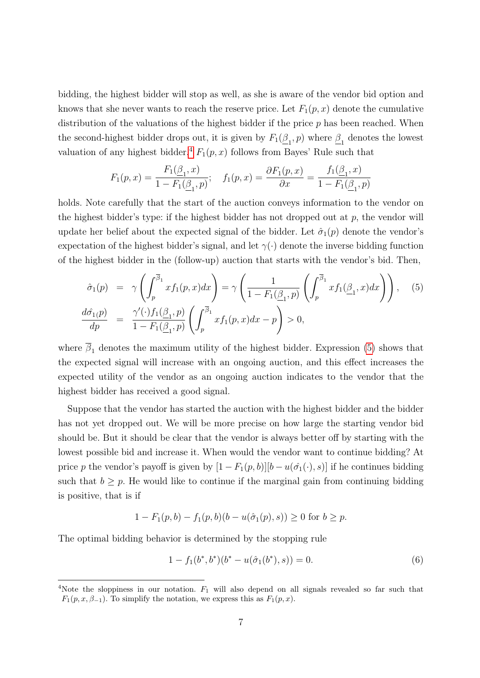bidding, the highest bidder will stop as well, as she is aware of the vendor bid option and knows that she never wants to reach the reserve price. Let  $F_1(p, x)$  denote the cumulative distribution of the valuations of the highest bidder if the price  $p$  has been reached. When the second-highest bidder drops out, it is given by  $F_1(\underline{\beta}_1, p)$  where  $\underline{\beta}_1$  denotes the lowest valuation of any highest bidder.<sup>[4](#page-1-0)</sup>  $F_1(p, x)$  follows from Bayes' Rule such that

$$
F_1(p,x) = \frac{F_1(\underline{\beta}_1, x)}{1 - F_1(\underline{\beta}_1, p)}; \quad f_1(p,x) = \frac{\partial F_1(p,x)}{\partial x} = \frac{f_1(\underline{\beta}_1, x)}{1 - F_1(\underline{\beta}_1, p)}
$$

holds. Note carefully that the start of the auction conveys information to the vendor on the highest bidder's type: if the highest bidder has not dropped out at  $p$ , the vendor will update her belief about the expected signal of the bidder. Let  $\hat{\sigma}_1(p)$  denote the vendor's expectation of the highest bidder's signal, and let  $\gamma(\cdot)$  denote the inverse bidding function of the highest bidder in the (follow-up) auction that starts with the vendor's bid. Then,

<span id="page-7-0"></span>
$$
\hat{\sigma}_1(p) = \gamma \left( \int_p^{\overline{\beta}_1} x f_1(p, x) dx \right) = \gamma \left( \frac{1}{1 - F_1(\underline{\beta}_1, p)} \left( \int_p^{\overline{\beta}_1} x f_1(\underline{\beta}_1, x) dx \right) \right), \quad (5)
$$
  

$$
\frac{d\hat{\sigma}_1(p)}{dp} = \frac{\gamma'(\cdot) f_1(\underline{\beta}_1, p)}{1 - F_1(\underline{\beta}_1, p)} \left( \int_p^{\overline{\beta}_1} x f_1(p, x) dx - p \right) > 0,
$$

where  $\overline{\beta}_1$  denotes the maximum utility of the highest bidder. Expression [\(5\)](#page-7-0) shows that the expected signal will increase with an ongoing auction, and this effect increases the expected utility of the vendor as an ongoing auction indicates to the vendor that the highest bidder has received a good signal.

Suppose that the vendor has started the auction with the highest bidder and the bidder has not yet dropped out. We will be more precise on how large the starting vendor bid should be. But it should be clear that the vendor is always better off by starting with the lowest possible bid and increase it. When would the vendor want to continue bidding? At price p the vendor's payoff is given by  $[1 - F_1(p, b)][b - u(\hat{\sigma}_1(\cdot), s)]$  if he continues bidding such that  $b \geq p$ . He would like to continue if the marginal gain from continuing bidding is positive, that is if

$$
1 - F_1(p, b) - f_1(p, b)(b - u(\hat{\sigma}_1(p), s)) \ge 0 \text{ for } b \ge p.
$$

The optimal bidding behavior is determined by the stopping rule

<span id="page-7-1"></span>
$$
1 - f_1(b^*, b^*)(b^* - u(\hat{\sigma}_1(b^*), s)) = 0.
$$
\n<sup>(6)</sup>

<sup>&</sup>lt;sup>4</sup>Note the sloppiness in our notation.  $F_1$  will also depend on all signals revealed so far such that  $F_1(p, x, \beta_{-1})$ . To simplify the notation, we express this as  $F_1(p, x)$ .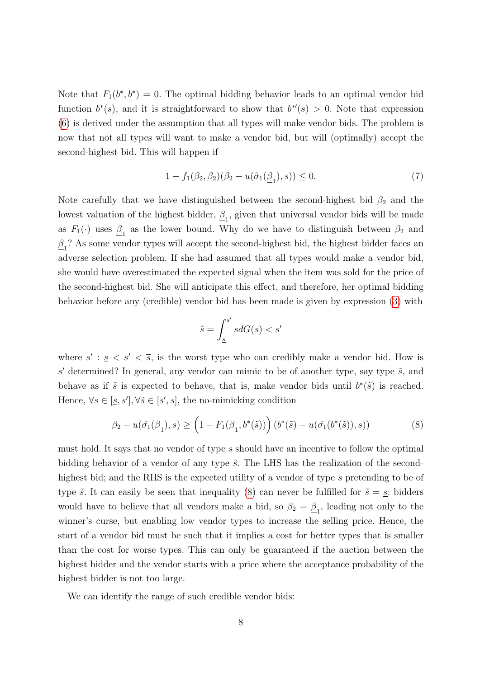Note that  $F_1(b^*, b^*) = 0$ . The optimal bidding behavior leads to an optimal vendor bid function  $b^*(s)$ , and it is straightforward to show that  $b^{*\prime}(s) > 0$ . Note that expression [\(6\)](#page-7-1) is derived under the assumption that all types will make vendor bids. The problem is now that not all types will want to make a vendor bid, but will (optimally) accept the second-highest bid. This will happen if

$$
1 - f_1(\beta_2, \beta_2)(\beta_2 - u(\hat{\sigma}_1(\underline{\beta}_1), s)) \le 0.
$$
 (7)

Note carefully that we have distinguished between the second-highest bid  $\beta_2$  and the lowest valuation of the highest bidder,  $\underline{\beta}_1$ , given that universal vendor bids will be made as  $F_1(\cdot)$  uses  $\underline{\beta}_1$  as the lower bound. Why do we have to distinguish between  $\beta_2$  and  $\underline{\beta}_1$ ? As some vendor types will accept the second-highest bid, the highest bidder faces an adverse selection problem. If she had assumed that all types would make a vendor bid, she would have overestimated the expected signal when the item was sold for the price of the second-highest bid. She will anticipate this effect, and therefore, her optimal bidding behavior before any (credible) vendor bid has been made is given by expression [\(3\)](#page-5-0) with

<span id="page-8-0"></span>
$$
\hat{s} = \int_{\underline{s}}^{s'} s dG(s) < s'
$$

where  $s' : \underline{s} \leq s' \leq \overline{s}$ , is the worst type who can credibly make a vendor bid. How is  $s'$  determined? In general, any vendor can mimic to be of another type, say type  $\tilde{s}$ , and behave as if  $\tilde{s}$  is expected to behave, that is, make vendor bids until  $b^*(\tilde{s})$  is reached. Hence,  $\forall s \in [s, s'], \forall \tilde{s} \in [s', \overline{s}]$ , the no-mimicking condition

$$
\beta_2 - u(\hat{\sigma_1}(\underline{\beta}_1), s) \ge \left(1 - F_1(\underline{\beta}_1, b^*(\tilde{s}))\right) (b^*(\tilde{s}) - u(\hat{\sigma_1}(b^*(\tilde{s})), s))
$$
(8)

must hold. It says that no vendor of type s should have an incentive to follow the optimal bidding behavior of a vendor of any type  $\tilde{s}$ . The LHS has the realization of the secondhighest bid; and the RHS is the expected utility of a vendor of type s pretending to be of type  $\tilde{s}$ . It can easily be seen that inequality [\(8\)](#page-8-0) can never be fulfilled for  $\tilde{s} = s$ : bidders would have to believe that all vendors make a bid, so  $\beta_2 = \underline{\beta}_1$ , leading not only to the winner's curse, but enabling low vendor types to increase the selling price. Hence, the start of a vendor bid must be such that it implies a cost for better types that is smaller than the cost for worse types. This can only be guaranteed if the auction between the highest bidder and the vendor starts with a price where the acceptance probability of the highest bidder is not too large.

<span id="page-8-1"></span>We can identify the range of such credible vendor bids: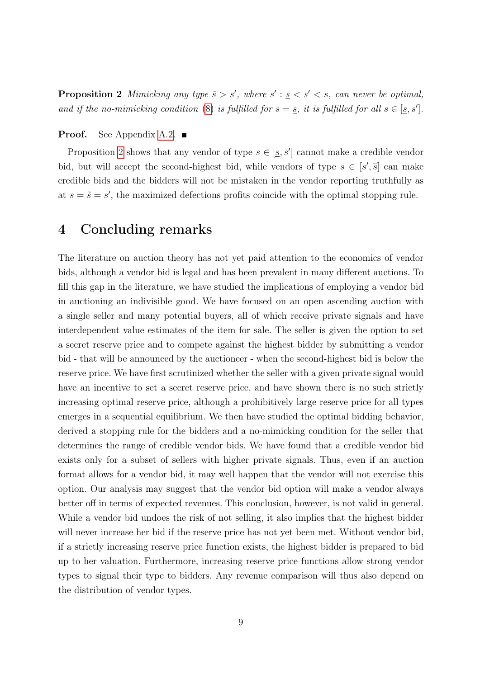**Proposition 2** Mimicking any type  $\tilde{s} > s'$ , where  $s' : s \leq s' \leq \overline{s}$ , can never be optimal, and if the no-mimicking condition [\(8\)](#page-8-0) is fulfilled for  $s = s$ , it is fulfilled for all  $s \in [s, s']$ .

#### Proof. See Appendix [A.2.](#page-11-0)

Proposition [2](#page-8-1) shows that any vendor of type  $s \in [\underline{s}, s']$  cannot make a credible vendor bid, but will accept the second-highest bid, while vendors of type  $s \in [s', \overline{s}]$  can make credible bids and the bidders will not be mistaken in the vendor reporting truthfully as at  $s = \tilde{s} = s'$ , the maximized defections profits coincide with the optimal stopping rule.

### <span id="page-9-0"></span>4 Concluding remarks

The literature on auction theory has not yet paid attention to the economics of vendor bids, although a vendor bid is legal and has been prevalent in many different auctions. To fill this gap in the literature, we have studied the implications of employing a vendor bid in auctioning an indivisible good. We have focused on an open ascending auction with a single seller and many potential buyers, all of which receive private signals and have interdependent value estimates of the item for sale. The seller is given the option to set a secret reserve price and to compete against the highest bidder by submitting a vendor bid - that will be announced by the auctioneer - when the second-highest bid is below the reserve price. We have first scrutinized whether the seller with a given private signal would have an incentive to set a secret reserve price, and have shown there is no such strictly increasing optimal reserve price, although a prohibitively large reserve price for all types emerges in a sequential equilibrium. We then have studied the optimal bidding behavior, derived a stopping rule for the bidders and a no-mimicking condition for the seller that determines the range of credible vendor bids. We have found that a credible vendor bid exists only for a subset of sellers with higher private signals. Thus, even if an auction format allows for a vendor bid, it may well happen that the vendor will not exercise this option. Our analysis may suggest that the vendor bid option will make a vendor always better off in terms of expected revenues. This conclusion, however, is not valid in general. While a vendor bid undoes the risk of not selling, it also implies that the highest bidder will never increase her bid if the reserve price has not yet been met. Without vendor bid, if a strictly increasing reserve price function exists, the highest bidder is prepared to bid up to her valuation. Furthermore, increasing reserve price functions allow strong vendor types to signal their type to bidders. Any revenue comparison will thus also depend on the distribution of vendor types.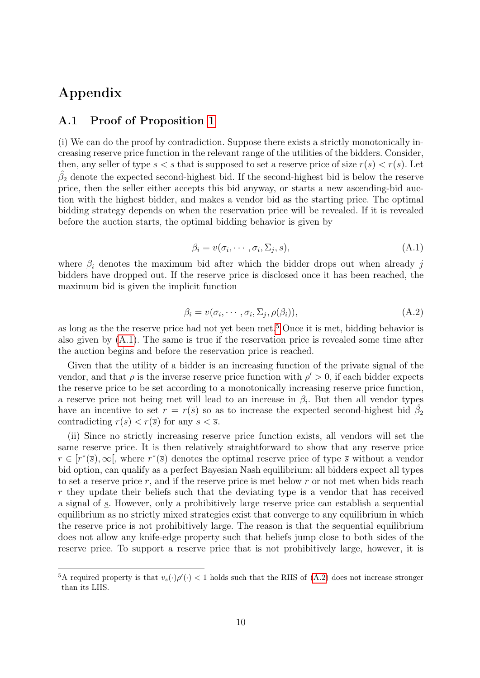## Appendix

### <span id="page-10-0"></span>A.1 Proof of Proposition [1](#page-5-2)

(i) We can do the proof by contradiction. Suppose there exists a strictly monotonically increasing reserve price function in the relevant range of the utilities of the bidders. Consider, then, any seller of type  $s < \overline{s}$  that is supposed to set a reserve price of size  $r(s) < r(\overline{s})$ . Let  $\hat{\beta}_2$  denote the expected second-highest bid. If the second-highest bid is below the reserve price, then the seller either accepts this bid anyway, or starts a new ascending-bid auction with the highest bidder, and makes a vendor bid as the starting price. The optimal bidding strategy depends on when the reservation price will be revealed. If it is revealed before the auction starts, the optimal bidding behavior is given by

$$
\beta_i = v(\sigma_i, \cdots, \sigma_i, \Sigma_j, s), \tag{A.1}
$$

<span id="page-10-2"></span><span id="page-10-1"></span>where  $\beta_i$  denotes the maximum bid after which the bidder drops out when already j bidders have dropped out. If the reserve price is disclosed once it has been reached, the maximum bid is given the implicit function

$$
\beta_i = v(\sigma_i, \cdots, \sigma_i, \Sigma_j, \rho(\beta_i)), \tag{A.2}
$$

as long as the the reserve price had not yet been met.<sup>[5](#page-1-0)</sup> Once it is met, bidding behavior is also given by [\(A.1\)](#page-10-1). The same is true if the reservation price is revealed some time after the auction begins and before the reservation price is reached.

Given that the utility of a bidder is an increasing function of the private signal of the vendor, and that  $\rho$  is the inverse reserve price function with  $\rho' > 0$ , if each bidder expects the reserve price to be set according to a monotonically increasing reserve price function, a reserve price not being met will lead to an increase in  $\beta_i$ . But then all vendor types have an incentive to set  $r = r(\overline{s})$  so as to increase the expected second-highest bid  $\hat{\beta}_2$ contradicting  $r(s) < r(\overline{s})$  for any  $s < \overline{s}$ .

(ii) Since no strictly increasing reserve price function exists, all vendors will set the same reserve price. It is then relatively straightforward to show that any reserve price  $r \in [r^*(\overline{s}), \infty]$ , where  $r^*(\overline{s})$  denotes the optimal reserve price of type  $\overline{s}$  without a vendor bid option, can qualify as a perfect Bayesian Nash equilibrium: all bidders expect all types to set a reserve price  $r$ , and if the reserve price is met below  $r$  or not met when bids reach r they update their beliefs such that the deviating type is a vendor that has received a signal of s. However, only a prohibitively large reserve price can establish a sequential equilibrium as no strictly mixed strategies exist that converge to any equilibrium in which the reserve price is not prohibitively large. The reason is that the sequential equilibrium does not allow any knife-edge property such that beliefs jump close to both sides of the reserve price. To support a reserve price that is not prohibitively large, however, it is

<sup>&</sup>lt;sup>5</sup>A required property is that  $v_s(\cdot)\rho'(\cdot) < 1$  holds such that the RHS of [\(A.2\)](#page-10-2) does not increase stronger than its LHS.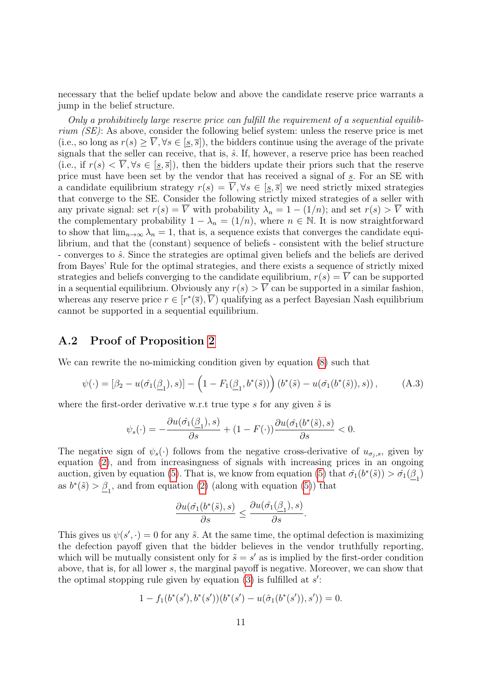necessary that the belief update below and above the candidate reserve price warrants a jump in the belief structure.

Only a prohibitively large reserve price can fulfill the requirement of a sequential equilibrium (SE): As above, consider the following belief system: unless the reserve price is met (i.e., so long as  $r(s) \geq \overline{V}$ ,  $\forall s \in [\underline{s}, \overline{s}]$ ), the bidders continue using the average of the private signals that the seller can receive, that is,  $\hat{s}$ . If, however, a reserve price has been reached (i.e., if  $r(s) < \overline{V}$ ,  $\forall s \in [s, \overline{s}]$ ), then the bidders update their priors such that the reserve price must have been set by the vendor that has received a signal of s. For an SE with a candidate equilibrium strategy  $r(s) = \overline{V}$ ,  $\forall s \in [s, \overline{s}]$  we need strictly mixed strategies that converge to the SE. Consider the following strictly mixed strategies of a seller with any private signal: set  $r(s) = \overline{V}$  with probability  $\lambda_n = 1 - (1/n)$ ; and set  $r(s) > \overline{V}$  with the complementary probability  $1 - \lambda_n = (1/n)$ , where  $n \in \mathbb{N}$ . It is now straightforward to show that  $\lim_{n\to\infty}\lambda_n=1$ , that is, a sequence exists that converges the candidate equilibrium, and that the (constant) sequence of beliefs - consistent with the belief structure - converges to  $\hat{s}$ . Since the strategies are optimal given beliefs and the beliefs are derived from Bayes' Rule for the optimal strategies, and there exists a sequence of strictly mixed strategies and beliefs converging to the candidate equilibrium,  $r(s) = \overline{V}$  can be supported in a sequential equilibrium. Obviously any  $r(s) > \overline{V}$  can be supported in a similar fashion, whereas any reserve price  $r \in [r^*(\overline{s}), \overline{V})$  qualifying as a perfect Bayesian Nash equilibrium cannot be supported in a sequential equilibrium.

### <span id="page-11-0"></span>A.2 Proof of Proposition [2](#page-8-1)

We can rewrite the no-mimicking condition given by equation [\(8\)](#page-8-0) such that

$$
\psi(\cdot) = [\beta_2 - u(\hat{\sigma_1}(\underline{\beta}_1), s)] - \left(1 - F_1(\underline{\beta}_1, b^*(\tilde{s}))\right) \left(b^*(\tilde{s}) - u(\hat{\sigma_1}(b^*(\tilde{s})), s)\right),\tag{A.3}
$$

where the first-order derivative w.r.t true type s for any given  $\tilde{s}$  is

$$
\psi_s(\cdot) = -\frac{\partial u(\hat{\sigma_1}(\underline{\beta}_1), s)}{\partial s} + (1 - F(\cdot)) \frac{\partial u(\hat{\sigma_1}(b^*(\tilde{s}), s))}{\partial s} < 0.
$$

The negative sign of  $\psi_s(\cdot)$  follows from the negative cross-derivative of  $u_{\sigma_j,s}$ , given by equation [\(2\)](#page-5-3), and from increasingness of signals with increasing prices in an ongoing auction, given by equation [\(5\)](#page-7-0). That is, we know from equation (5) that  $\hat{\sigma}_1(b^*(\tilde{s})) > \hat{\sigma}_1(\underline{\beta}_1)$ as  $b^*(\tilde{s}) > \underline{\beta}_1$ , and from equation [\(2\)](#page-5-3) (along with equation [\(5\)](#page-7-0)) that

$$
\frac{\partial u(\hat{\sigma_1}(b^*(\tilde{s}),s)}{\partial s} \le \frac{\partial u(\hat{\sigma_1}(\underline{\beta}_1),s)}{\partial s}.
$$

This gives us  $\psi(s', \cdot) = 0$  for any  $\tilde{s}$ . At the same time, the optimal defection is maximizing the defection payoff given that the bidder believes in the vendor truthfully reporting, which will be mutually consistent only for  $\tilde{s} = s'$  as is implied by the first-order condition above, that is, for all lower s, the marginal payoff is negative. Moreover, we can show that the optimal stopping rule given by equation  $(3)$  is fulfilled at  $s'$ :

$$
1 - f_1(b^*(s'), b^*(s'))(b^*(s') - u(\hat{\sigma}_1(b^*(s')), s')) = 0.
$$